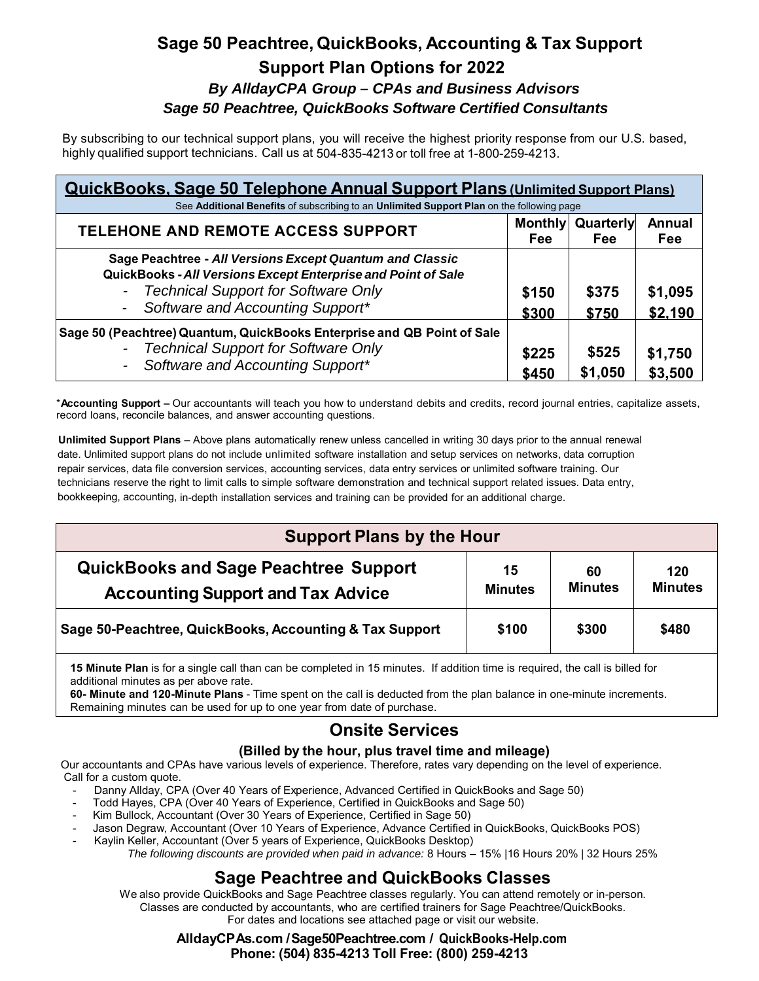# **Sage 50 Peachtree, QuickBooks, Accounting & Tax Support Support Plan Options for 2022**  *By AlldayCPA Group – CPAs and Business Advisors Sage 50 Peachtree, QuickBooks Software Certified Consultants*

By subscribing to our technical support plans, you will receive the highest priority response from our U.S. based, highly qualified support technicians. Call us at 504-835-4213 or toll free at 1-800-259-4213.

| <b>QuickBooks, Sage 50 Telephone Annual Support Plans (Unlimited Support Plans)</b>                                                                                                                         |                       |                                |                      |  |  |
|-------------------------------------------------------------------------------------------------------------------------------------------------------------------------------------------------------------|-----------------------|--------------------------------|----------------------|--|--|
| See Additional Benefits of subscribing to an Unlimited Support Plan on the following page                                                                                                                   |                       |                                |                      |  |  |
| TELEHONE AND REMOTE ACCESS SUPPORT                                                                                                                                                                          | <b>Monthly</b><br>Fee | <b>Quarterly</b><br><b>Fee</b> | <b>Annual</b><br>Fee |  |  |
| Sage Peachtree - All Versions Except Quantum and Classic<br>QuickBooks - All Versions Except Enterprise and Point of Sale<br><b>Technical Support for Software Only</b><br>Software and Accounting Support* | \$150<br>\$300        | \$375<br>\$750                 | \$1,095<br>\$2,190   |  |  |
| Sage 50 (Peachtree) Quantum, QuickBooks Enterprise and QB Point of Sale<br><b>Technical Support for Software Only</b><br>Software and Accounting Support*                                                   | \$225<br>\$450        | \$525<br>\$1,050               | \$1,750<br>\$3,500   |  |  |

\***Accounting Support –** Our accountants will teach you how to understand debits and credits, record journal entries, capitalize assets, record loans, reconcile balances, and answer accounting questions.

**Unlimited Support Plans** – Above plans automatically renew unless cancelled in writing 30 days prior to the annual renewal date. Unlimited support plans do not include unlimited software installation and setup services on networks, data corruption repair services, data file conversion services, accounting services, data entry services or unlimited software training. Our technicians reserve the right to limit calls to simple software demonstration and technical support related issues. Data entry, bookkeeping, accounting, in-depth installation services and training can be provided for an additional charge.

| <b>Support Plans by the Hour</b>                        |                |                |                |  |  |
|---------------------------------------------------------|----------------|----------------|----------------|--|--|
|                                                         |                |                |                |  |  |
| <b>QuickBooks and Sage Peachtree Support</b>            | 15             | 60             | 120            |  |  |
| <b>Accounting Support and Tax Advice</b>                | <b>Minutes</b> | <b>Minutes</b> | <b>Minutes</b> |  |  |
|                                                         |                |                |                |  |  |
|                                                         |                |                |                |  |  |
| Sage 50-Peachtree, QuickBooks, Accounting & Tax Support | \$100          | \$300          | \$480          |  |  |
|                                                         |                |                |                |  |  |

**15 Minute Plan** is for a single call than can be completed in 15 minutes. If addition time is required, the call is billed for additional minutes as per above rate.

**60- Minute and 120-Minute Plans** - Time spent on the call is deducted from the plan balance in one-minute increments. Remaining minutes can be used for up to one year from date of purchase.

## **Onsite Services**

#### **(Billed by the hour, plus travel time and mileage)**

Our accountants and CPAs have various levels of experience. Therefore, rates vary depending on the level of experience. Call for a custom quote.

- Danny Allday, CPA (Over 40 Years of Experience, Advanced Certified in QuickBooks and Sage 50)
- Todd Hayes, CPA (Over 40 Years of Experience, Certified in QuickBooks and Sage 50)
- Kim Bullock, Accountant (Over 30 Years of Experience, Certified in Sage 50)
- Jason Degraw, Accountant (Over 10 Years of Experience, Advance Certified in QuickBooks, QuickBooks POS)
- Kaylin Keller, Accountant (Over 5 years of Experience, QuickBooks Desktop) *The following discounts are provided when paid in advance:* 8 Hours – 15% |16 Hours 20% | 32 Hours 25%

## **Sage Peachtree and QuickBooks Classes**

We also provide QuickBooks and Sage Peachtree classes regularly. You can attend remotely or in-person. Classes are conducted by accountants, who are certified trainers for Sage Peachtree/QuickBooks. For dates and locations see attached page or visit our website.

#### **AlldayCPAs.com / Sage50Peachtree.com / QuickBooks-Help.com Phone: (504) 835-4213 Toll Free: (800) 259-4213**